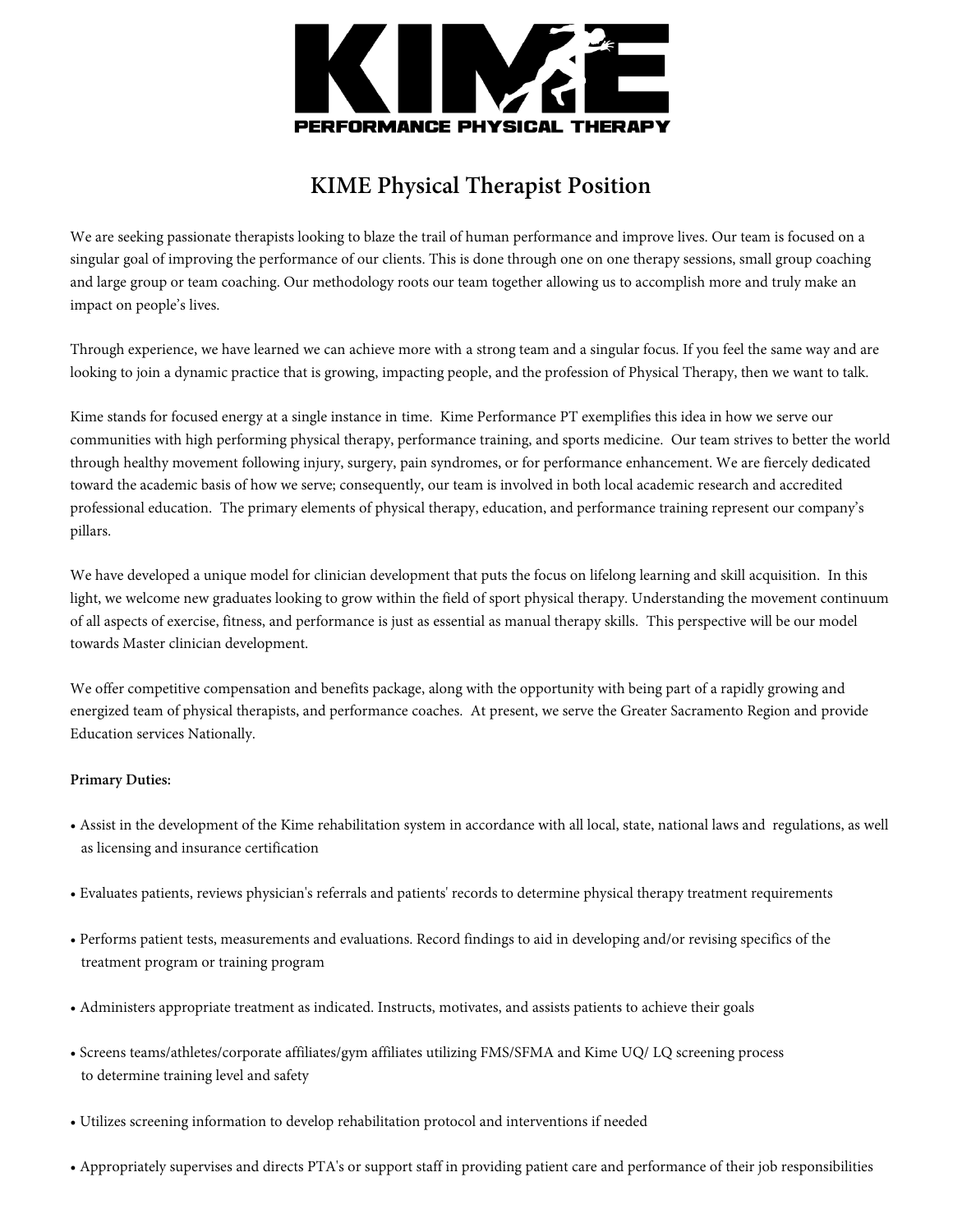

## **KIME Physical Therapist Position**

We are seeking passionate therapists looking to blaze the trail of human performance and improve lives. Our team is focused on a singular goal of improving the performance of our clients. This is done through one on one therapy sessions, small group coaching and large group or team coaching. Our methodology roots our team together allowing us to accomplish more and truly make an impact on people's lives.

Through experience, we have learned we can achieve more with a strong team and a singular focus. If you feel the same way and are looking to join a dynamic practice that is growing, impacting people, and the profession of Physical Therapy, then we want to talk.

Kime stands for focused energy at a single instance in time. Kime Performance PT exemplifies this idea in how we serve our communities with high performing physical therapy, performance training, and sports medicine. Our team strives to better the world through healthy movement following injury, surgery, pain syndromes, or for performance enhancement. We are fiercely dedicated toward the academic basis of how we serve; consequently, our team is involved in both local academic research and accredited professional education. The primary elements of physical therapy, education, and performance training represent our company's pillars.

We have developed a unique model for clinician development that puts the focus on lifelong learning and skill acquisition. In this light, we welcome new graduates looking to grow within the field of sport physical therapy. Understanding the movement continuum of all aspects of exercise, fitness, and performance is just as essential as manual therapy skills. This perspective will be our model towards Master clinician development.

We offer competitive compensation and benefits package, along with the opportunity with being part of a rapidly growing and energized team of physical therapists, and performance coaches. At present, we serve the Greater Sacramento Region and provide Education services Nationally.

## **Primary Duties:**

- Assist in the development of the Kime rehabilitation system in accordance with all local, state, national laws and regulations, as well as licensing and insurance certification
- Evaluates patients, reviews physician's referrals and patients' records to determine physical therapy treatment requirements
- Performs patient tests, measurements and evaluations. Record findings to aid in developing and/or revising specifics of the treatment program or training program
- Administers appropriate treatment as indicated. Instructs, motivates, and assists patients to achieve their goals
- Screens teams/athletes/corporate affiliates/gym affiliates utilizing FMS/SFMA and Kime UQ/ LQ screening process to determine training level and safety
- Utilizes screening information to develop rehabilitation protocol and interventions if needed
- Appropriately supervises and directs PTA's or support staff in providing patient care and performance of their job responsibilities